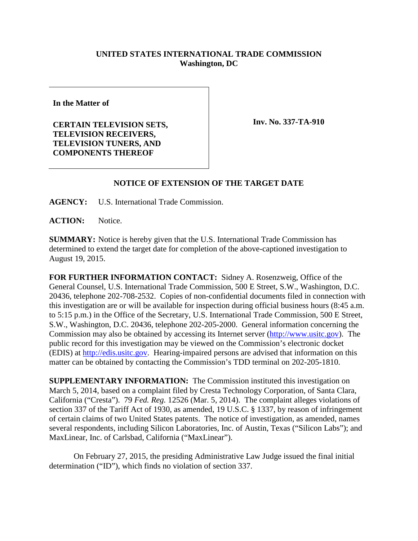## **UNITED STATES INTERNATIONAL TRADE COMMISSION Washington, DC**

**In the Matter of**

**CERTAIN TELEVISION SETS, TELEVISION RECEIVERS, TELEVISION TUNERS, AND COMPONENTS THEREOF** 

**Inv. No. 337-TA-910**

## **NOTICE OF EXTENSION OF THE TARGET DATE**

**AGENCY:** U.S. International Trade Commission.

**ACTION:** Notice.

**SUMMARY:** Notice is hereby given that the U.S. International Trade Commission has determined to extend the target date for completion of the above-captioned investigation to August 19, 2015.

**FOR FURTHER INFORMATION CONTACT:** Sidney A. Rosenzweig, Office of the General Counsel, U.S. International Trade Commission, 500 E Street, S.W., Washington, D.C. 20436, telephone 202-708-2532. Copies of non-confidential documents filed in connection with this investigation are or will be available for inspection during official business hours (8:45 a.m. to 5:15 p.m.) in the Office of the Secretary, U.S. International Trade Commission, 500 E Street, S.W., Washington, D.C. 20436, telephone 202-205-2000. General information concerning the Commission may also be obtained by accessing its Internet server [\(http://www.usitc.gov\)](http://www.usitc.gov/). The public record for this investigation may be viewed on the Commission's electronic docket (EDIS) at [http://edis.usitc.gov.](http://edis.usitc.gov/) Hearing-impaired persons are advised that information on this matter can be obtained by contacting the Commission's TDD terminal on 202-205-1810.

**SUPPLEMENTARY INFORMATION:** The Commission instituted this investigation on March 5, 2014, based on a complaint filed by Cresta Technology Corporation, of Santa Clara, California ("Cresta"). 79 *Fed. Reg.* 12526 (Mar. 5, 2014). The complaint alleges violations of section 337 of the Tariff Act of 1930, as amended, 19 U.S.C. § 1337, by reason of infringement of certain claims of two United States patents. The notice of investigation, as amended, names several respondents, including Silicon Laboratories, Inc. of Austin, Texas ("Silicon Labs"); and MaxLinear, Inc. of Carlsbad, California ("MaxLinear").

On February 27, 2015, the presiding Administrative Law Judge issued the final initial determination ("ID"), which finds no violation of section 337.